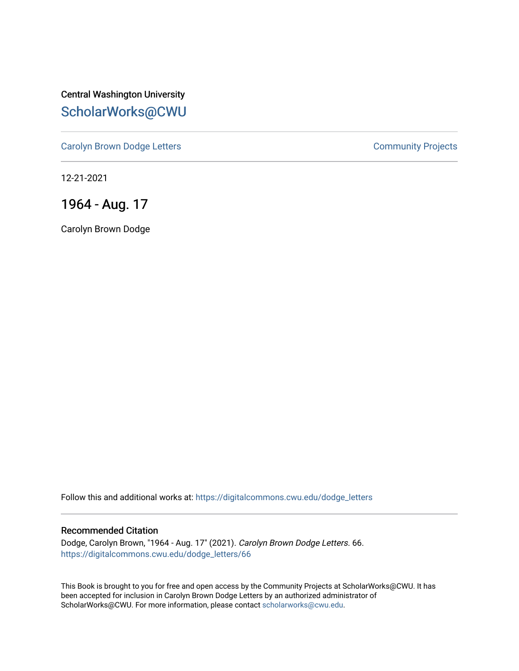Central Washington University [ScholarWorks@CWU](https://digitalcommons.cwu.edu/) 

[Carolyn Brown Dodge Letters](https://digitalcommons.cwu.edu/dodge_letters) **Carolyn Brown Dodge Letters Community Projects** 

12-21-2021

1964 - Aug. 17

Carolyn Brown Dodge

Follow this and additional works at: [https://digitalcommons.cwu.edu/dodge\\_letters](https://digitalcommons.cwu.edu/dodge_letters?utm_source=digitalcommons.cwu.edu%2Fdodge_letters%2F66&utm_medium=PDF&utm_campaign=PDFCoverPages) 

## Recommended Citation

Dodge, Carolyn Brown, "1964 - Aug. 17" (2021). Carolyn Brown Dodge Letters. 66. [https://digitalcommons.cwu.edu/dodge\\_letters/66](https://digitalcommons.cwu.edu/dodge_letters/66?utm_source=digitalcommons.cwu.edu%2Fdodge_letters%2F66&utm_medium=PDF&utm_campaign=PDFCoverPages)

This Book is brought to you for free and open access by the Community Projects at ScholarWorks@CWU. It has been accepted for inclusion in Carolyn Brown Dodge Letters by an authorized administrator of ScholarWorks@CWU. For more information, please contact [scholarworks@cwu.edu](mailto:scholarworks@cwu.edu).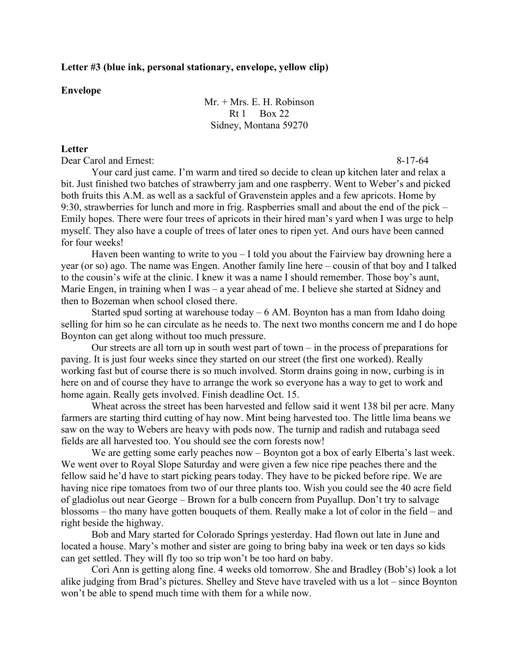## **Letter #3 (blue ink, personal stationary, envelope, yellow clip)**

## **Envelope**

Mr. + Mrs. E. H. Robinson  $Rt 1$  Box 22 Sidney, Montana 59270

## **Letter**

Dear Carol and Ernest:  $8-17-64$ 

Your card just came. I'm warm and tired so decide to clean up kitchen later and relax a bit. Just finished two batches of strawberry jam and one raspberry. Went to Weber's and picked both fruits this A.M. as well as a sackful of Gravenstein apples and a few apricots. Home by 9:30, strawberries for lunch and more in frig. Raspberries small and about the end of the pick – Emily hopes. There were four trees of apricots in their hired man's yard when I was urge to help myself. They also have a couple of trees of later ones to ripen yet. And ours have been canned for four weeks!

Haven been wanting to write to you  $-I$  told you about the Fairview bay drowning here a year (or so) ago. The name was Engen. Another family line here – cousin of that boy and I talked to the cousin's wife at the clinic. I knew it was a name I should remember. Those boy's aunt, Marie Engen, in training when I was – a year ahead of me. I believe she started at Sidney and then to Bozeman when school closed there.

Started spud sorting at warehouse today – 6 AM. Boynton has a man from Idaho doing selling for him so he can circulate as he needs to. The next two months concern me and I do hope Boynton can get along without too much pressure.

Our streets are all torn up in south west part of town – in the process of preparations for paving. It is just four weeks since they started on our street (the first one worked). Really working fast but of course there is so much involved. Storm drains going in now, curbing is in here on and of course they have to arrange the work so everyone has a way to get to work and home again. Really gets involved. Finish deadline Oct. 15.

Wheat across the street has been harvested and fellow said it went 138 bil per acre. Many farmers are starting third cutting of hay now. Mint being harvested too. The little lima beans we saw on the way to Webers are heavy with pods now. The turnip and radish and rutabaga seed fields are all harvested too. You should see the corn forests now!

We are getting some early peaches now – Boynton got a box of early Elberta's last week. We went over to Royal Slope Saturday and were given a few nice ripe peaches there and the fellow said he'd have to start picking pears today. They have to be picked before ripe. We are having nice ripe tomatoes from two of our three plants too. Wish you could see the 40 acre field of gladiolus out near George – Brown for a bulb concern from Puyallup. Don't try to salvage blossoms – tho many have gotten bouquets of them. Really make a lot of color in the field – and right beside the highway.

Bob and Mary started for Colorado Springs yesterday. Had flown out late in June and located a house. Mary's mother and sister are going to bring baby ina week or ten days so kids can get settled. They will fly too so trip won't be too hard on baby.

Cori Ann is getting along fine. 4 weeks old tomorrow. She and Bradley (Bob's) look a lot alike judging from Brad's pictures. Shelley and Steve have traveled with us a lot – since Boynton won't be able to spend much time with them for a while now.